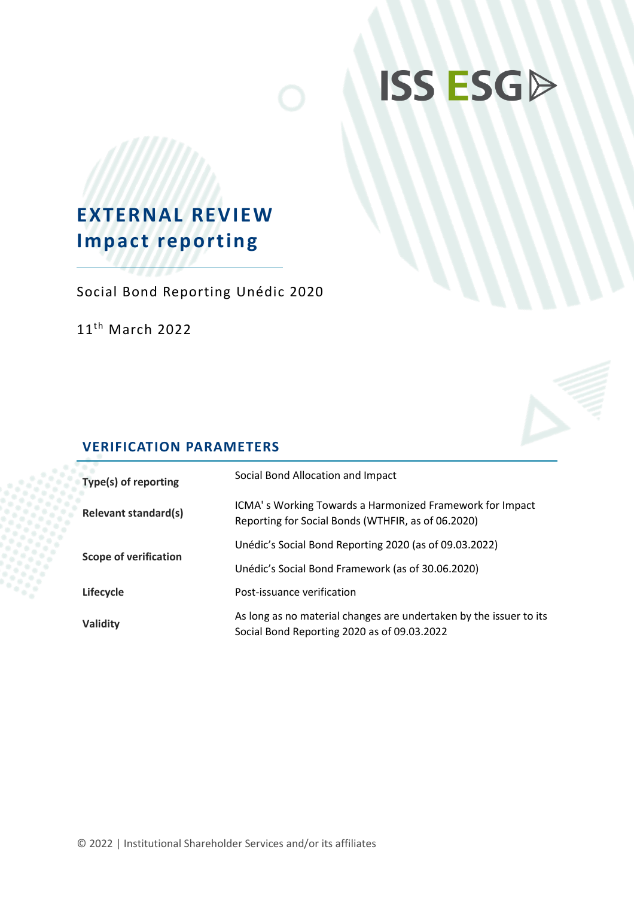# **ISS ESGD**

## **EXTERNAL REVIEW Impact reporting**

Social Bond Reporting Unédic 2020

 $11^{\text{th}}$  March 2022



## **VERIFICATION PARAMETERS**

| Type(s) of reporting         | Social Bond Allocation and Impact                                                                                 |
|------------------------------|-------------------------------------------------------------------------------------------------------------------|
| <b>Relevant standard(s)</b>  | ICMA's Working Towards a Harmonized Framework for Impact<br>Reporting for Social Bonds (WTHFIR, as of 06.2020)    |
|                              | Unédic's Social Bond Reporting 2020 (as of 09.03.2022)                                                            |
| <b>Scope of verification</b> | Unédic's Social Bond Framework (as of 30.06.2020)                                                                 |
| Lifecycle                    | Post-issuance verification                                                                                        |
| Validity                     | As long as no material changes are undertaken by the issuer to its<br>Social Bond Reporting 2020 as of 09.03.2022 |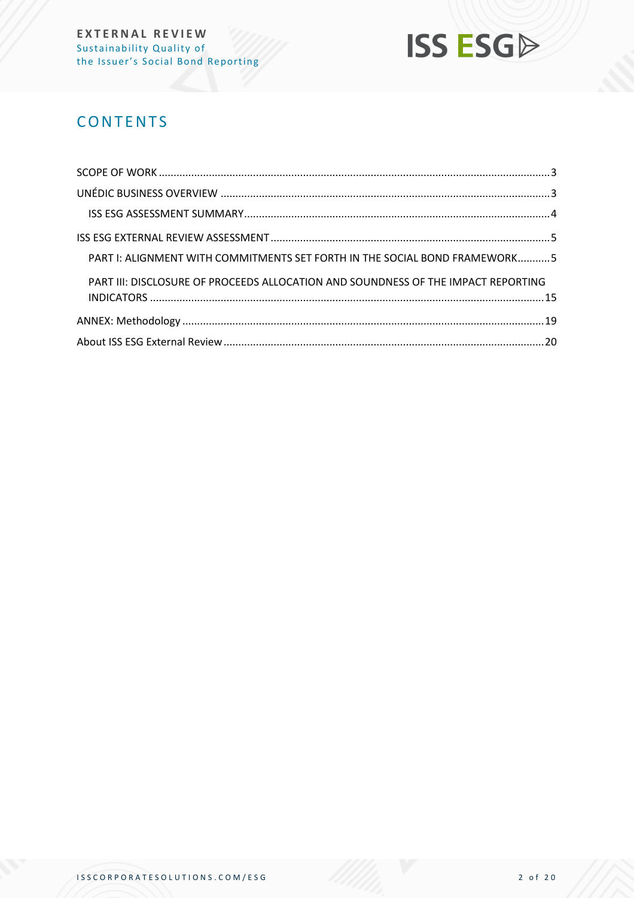

## **CONTENTS**

| PART I: ALIGNMENT WITH COMMITMENTS SET FORTH IN THE SOCIAL BOND FRAMEWORK5        |  |
|-----------------------------------------------------------------------------------|--|
| PART III: DISCLOSURE OF PROCEEDS ALLOCATION AND SOUNDNESS OF THE IMPACT REPORTING |  |
|                                                                                   |  |
|                                                                                   |  |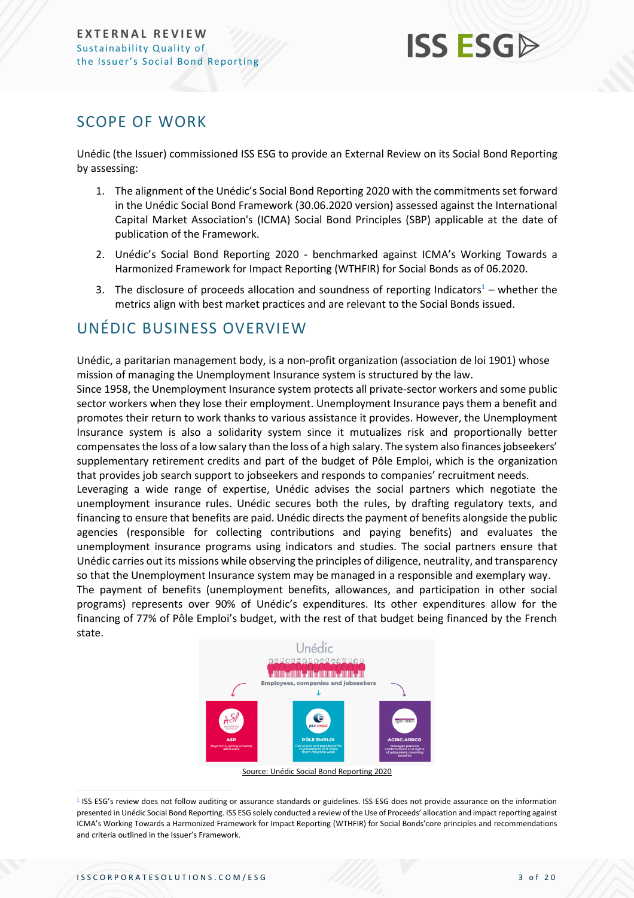## **ISS ESG**

## <span id="page-2-0"></span>SCOPE OF WORK

Unédic (the Issuer) commissioned ISS ESG to provide an External Review on its Social Bond Reporting by assessing:

- 1. The alignment of the Unédic's Social Bond Reporting 2020 with the commitments set forward in the Unédic Social Bond Framework (30.06.2020 version) assessed against the International Capital Market Association's (ICMA) Social Bond Principles (SBP) applicable at the date of publication of the Framework.
- 2. Unédic's Social Bond Reporting 2020 benchmarked against ICMA's Working Towards a Harmonized Framework for Impact Reporting (WTHFIR) for Social Bonds as of 06.2020.
- 3. The disclosure of proceeds allocation and soundness of reporting Indicators<sup>1</sup> whether the metrics align with best market practices and are relevant to the Social Bonds issued.

## <span id="page-2-1"></span>UNÉDIC BUSINESS OVERVIEW

Unédic, a paritarian management body, is a non-profit organization (association de loi 1901) whose mission of managing the Unemployment Insurance system is structured by the law.

Since 1958, the Unemployment Insurance system protects all private-sector workers and some public sector workers when they lose their employment. Unemployment Insurance pays them a benefit and promotes their return to work thanks to various assistance it provides. However, the Unemployment Insurance system is also a solidarity system since it mutualizes risk and proportionally better compensates the loss of a low salary than the loss of a high salary. The system also finances jobseekers' supplementary retirement credits and part of the budget of Pôle Emploi, which is the organization that provides job search support to jobseekers and responds to companies' recruitment needs.

Leveraging a wide range of expertise, Unédic advises the social partners which negotiate the unemployment insurance rules. Unédic secures both the rules, by drafting regulatory texts, and financing to ensure that benefits are paid. Unédic directs the payment of benefits alongside the public agencies (responsible for collecting contributions and paying benefits) and evaluates the unemployment insurance programs using indicators and studies. The social partners ensure that Unédic carries out its missions while observing the principles of diligence, neutrality, and transparency so that the Unemployment Insurance system may be managed in a responsible and exemplary way.

The payment of benefits (unemployment benefits, allowances, and participation in other social programs) represents over 90% of Unédic's expenditures. Its other expenditures allow for the financing of 77% of Pôle Emploi's budget, with the rest of that budget being financed by the French state.



Source: Unédic Social Bond Reporting 2020

<sup>&</sup>lt;sup>1</sup> ISS ESG's review does not follow auditing or assurance standards or guidelines. ISS ESG does not provide assurance on the information presented in Unédic Social Bond Reporting. ISS ESG solely conducted a review of the Use of Proceeds' allocation and impact reporting against ICMA's Working Towards a Harmonized Framework for Impact Reporting (WTHFIR) for Social Bonds'core principles and recommendations and criteria outlined in the Issuer's Framework.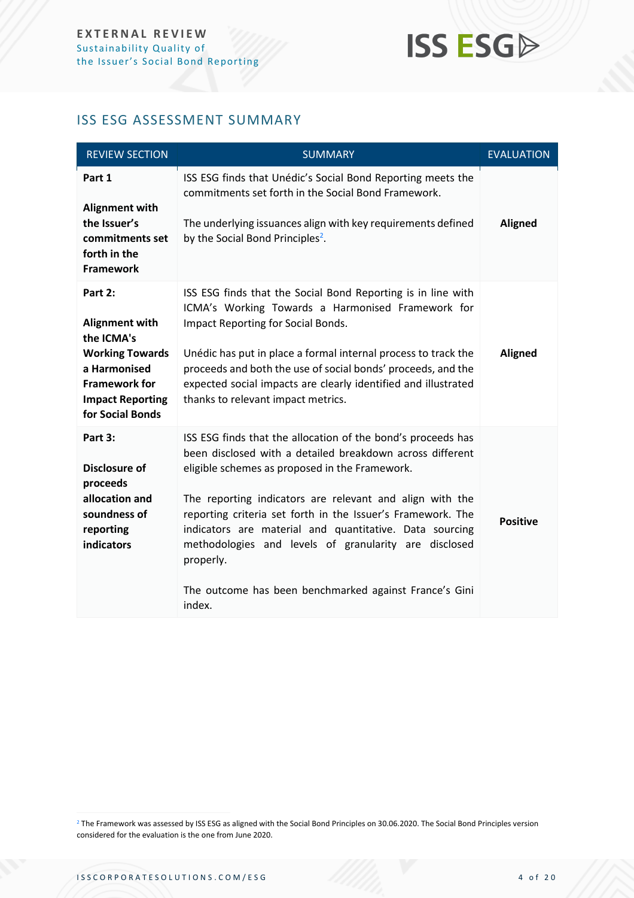## **ISS ESGA**

## <span id="page-3-0"></span>ISS ESG ASSESSMENT SUMMARY

| <b>REVIEW SECTION</b>                                                                                                                                           | <b>SUMMARY</b>                                                                                                                                                                                                                                                                                                                                                                                                                                                                                              | <b>EVALUATION</b> |
|-----------------------------------------------------------------------------------------------------------------------------------------------------------------|-------------------------------------------------------------------------------------------------------------------------------------------------------------------------------------------------------------------------------------------------------------------------------------------------------------------------------------------------------------------------------------------------------------------------------------------------------------------------------------------------------------|-------------------|
| Part 1<br><b>Alignment with</b><br>the Issuer's<br>commitments set<br>forth in the<br><b>Framework</b>                                                          | ISS ESG finds that Unédic's Social Bond Reporting meets the<br>commitments set forth in the Social Bond Framework.<br>The underlying issuances align with key requirements defined<br>by the Social Bond Principles <sup>2</sup> .                                                                                                                                                                                                                                                                          | <b>Aligned</b>    |
| Part 2:<br><b>Alignment with</b><br>the ICMA's<br><b>Working Towards</b><br>a Harmonised<br><b>Framework for</b><br><b>Impact Reporting</b><br>for Social Bonds | ISS ESG finds that the Social Bond Reporting is in line with<br>ICMA's Working Towards a Harmonised Framework for<br>Impact Reporting for Social Bonds.<br>Unédic has put in place a formal internal process to track the<br>proceeds and both the use of social bonds' proceeds, and the<br>expected social impacts are clearly identified and illustrated<br>thanks to relevant impact metrics.                                                                                                           | <b>Aligned</b>    |
| Part 3:<br>Disclosure of<br>proceeds<br>allocation and<br>soundness of<br>reporting<br><b>indicators</b>                                                        | ISS ESG finds that the allocation of the bond's proceeds has<br>been disclosed with a detailed breakdown across different<br>eligible schemes as proposed in the Framework.<br>The reporting indicators are relevant and align with the<br>reporting criteria set forth in the Issuer's Framework. The<br>indicators are material and quantitative. Data sourcing<br>methodologies and levels of granularity are disclosed<br>properly.<br>The outcome has been benchmarked against France's Gini<br>index. | <b>Positive</b>   |

<sup>2</sup> The Framework was assessed by ISS ESG as aligned with the Social Bond Principles on 30.06.2020. The Social Bond Principles version considered for the evaluation is the one from June 2020.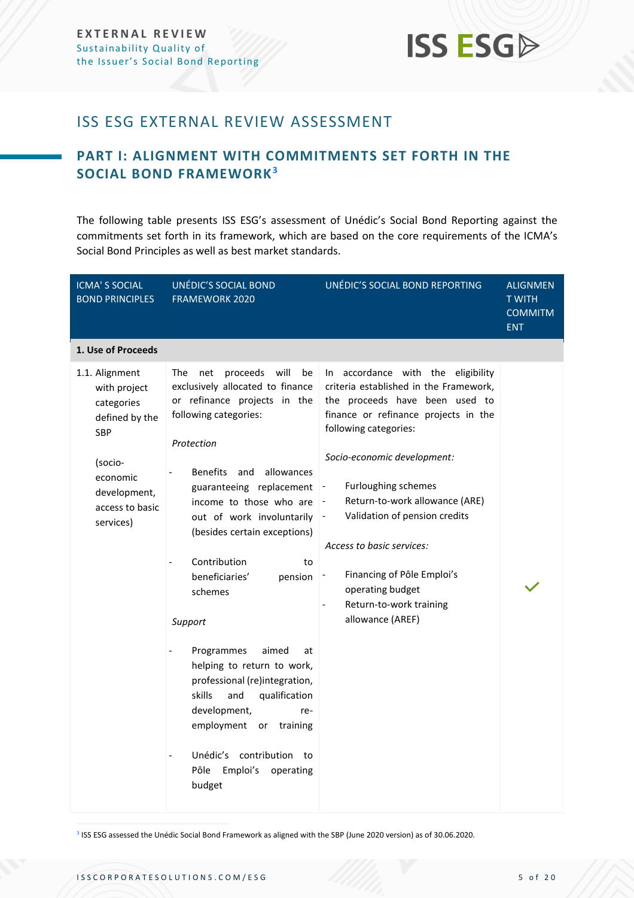## <span id="page-4-0"></span>ISS ESG EXTERNAL REVIEW ASSESSMENT

## <span id="page-4-1"></span>**PART I: ALIGNMENT WITH COMMITMENTS SET FORTH IN THE SOCIAL BOND FRAMEWORK<sup>3</sup>**

The following table presents ISS ESG's assessment of Unédic's Social Bond Reporting against the commitments set forth in its framework, which are based on the core requirements of the ICMA's Social Bond Principles as well as best market standards.

| <b>ICMA'S SOCIAL</b><br><b>BOND PRINCIPLES</b>                        | UNÉDIC'S SOCIAL BOND<br>FRAMEWORK 2020                                                                                                                                                                                                                                                                                                                                                                                                                                                        | UNÉDIC'S SOCIAL BOND REPORTING                                                                                                                                                                                                                                                             | <b>ALIGNMEN</b><br><b>TWITH</b><br><b>COMMITM</b><br><b>ENT</b> |
|-----------------------------------------------------------------------|-----------------------------------------------------------------------------------------------------------------------------------------------------------------------------------------------------------------------------------------------------------------------------------------------------------------------------------------------------------------------------------------------------------------------------------------------------------------------------------------------|--------------------------------------------------------------------------------------------------------------------------------------------------------------------------------------------------------------------------------------------------------------------------------------------|-----------------------------------------------------------------|
| 1. Use of Proceeds                                                    |                                                                                                                                                                                                                                                                                                                                                                                                                                                                                               |                                                                                                                                                                                                                                                                                            |                                                                 |
| 1.1. Alignment<br>with project<br>categories<br>defined by the<br>SBP | will<br>The<br>be<br>net<br>proceeds<br>exclusively allocated to finance<br>or refinance projects in the<br>following categories:<br>Protection                                                                                                                                                                                                                                                                                                                                               | In accordance with the eligibility<br>criteria established in the Framework,<br>the proceeds have been used to<br>finance or refinance projects in the<br>following categories:                                                                                                            |                                                                 |
| (socio-<br>economic<br>development,<br>access to basic<br>services)   | <b>Benefits</b><br>allowances<br>and<br>guaranteeing replacement<br>income to those who are<br>out of work involuntarily<br>(besides certain exceptions)<br>Contribution<br>to<br>beneficiaries'<br>pension<br>schemes<br>Support<br>Programmes<br>aimed<br>at<br>helping to return to work,<br>professional (re)integration,<br>skills<br>and<br>qualification<br>development,<br>re-<br>employment<br>training<br>or<br>Unédic's contribution to<br>Pôle<br>Emploi's<br>operating<br>budget | Socio-economic development:<br><b>Furloughing schemes</b><br>$\qquad \qquad \blacksquare$<br>Return-to-work allowance (ARE)<br>Validation of pension credits<br>Access to basic services:<br>Financing of Pôle Emploi's<br>operating budget<br>Return-to-work training<br>allowance (AREF) |                                                                 |

3 ISS ESG assessed the Unédic Social Bond Framework as aligned with the SBP (June 2020 version) as of 30.06.2020.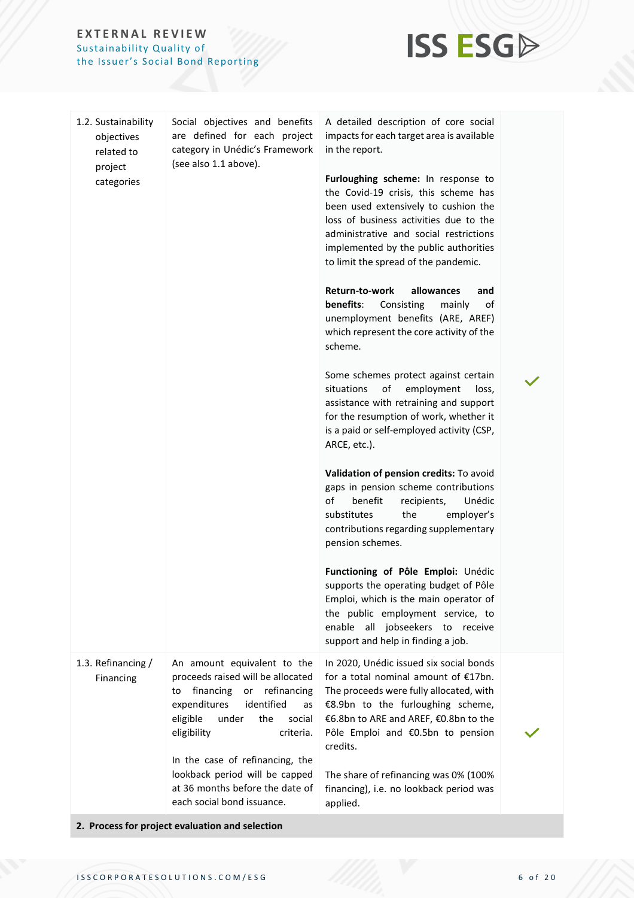

| 1.2. Sustainability<br>objectives<br>related to<br>project | Social objectives and benefits<br>are defined for each project<br>category in Unédic's Framework<br>(see also 1.1 above).                                                                                      | A detailed description of core social<br>impacts for each target area is available<br>in the report.                                                                                                                                                                                    |  |  |  |
|------------------------------------------------------------|----------------------------------------------------------------------------------------------------------------------------------------------------------------------------------------------------------------|-----------------------------------------------------------------------------------------------------------------------------------------------------------------------------------------------------------------------------------------------------------------------------------------|--|--|--|
| categories                                                 |                                                                                                                                                                                                                | Furloughing scheme: In response to<br>the Covid-19 crisis, this scheme has<br>been used extensively to cushion the<br>loss of business activities due to the<br>administrative and social restrictions<br>implemented by the public authorities<br>to limit the spread of the pandemic. |  |  |  |
|                                                            |                                                                                                                                                                                                                | Return-to-work<br>allowances<br>and<br>benefits:<br>Consisting<br>of<br>mainly<br>unemployment benefits (ARE, AREF)<br>which represent the core activity of the<br>scheme.                                                                                                              |  |  |  |
|                                                            |                                                                                                                                                                                                                | Some schemes protect against certain<br>situations<br>of<br>employment<br>loss,<br>assistance with retraining and support<br>for the resumption of work, whether it<br>is a paid or self-employed activity (CSP,<br>ARCE, etc.).                                                        |  |  |  |
|                                                            |                                                                                                                                                                                                                | Validation of pension credits: To avoid<br>gaps in pension scheme contributions<br>of<br>benefit<br>recipients,<br>Unédic<br>the<br>employer's<br>substitutes<br>contributions regarding supplementary<br>pension schemes.                                                              |  |  |  |
|                                                            |                                                                                                                                                                                                                | Functioning of Pôle Emploi: Unédic<br>supports the operating budget of Pôle<br>Emploi, which is the main operator of<br>the public employment service, to<br>all jobseekers to receive<br>enable<br>support and help in finding a job.                                                  |  |  |  |
| 1.3. Refinancing /<br>Financing                            | An amount equivalent to the<br>proceeds raised will be allocated<br>refinancing<br>financing<br>or<br>to<br>expenditures<br>identified<br>as<br>eligible<br>under<br>the<br>social<br>eligibility<br>criteria. | In 2020, Unédic issued six social bonds<br>for a total nominal amount of $E17bn$ .<br>The proceeds were fully allocated, with<br>€8.9bn to the furloughing scheme,<br>€6.8bn to ARE and AREF, €0.8bn to the<br>Pôle Emploi and €0.5bn to pension<br>credits.                            |  |  |  |
|                                                            | In the case of refinancing, the<br>lookback period will be capped<br>at 36 months before the date of<br>each social bond issuance.                                                                             | The share of refinancing was 0% (100%<br>financing), i.e. no lookback period was<br>applied.                                                                                                                                                                                            |  |  |  |
|                                                            | 2. Process for project evaluation and selection                                                                                                                                                                |                                                                                                                                                                                                                                                                                         |  |  |  |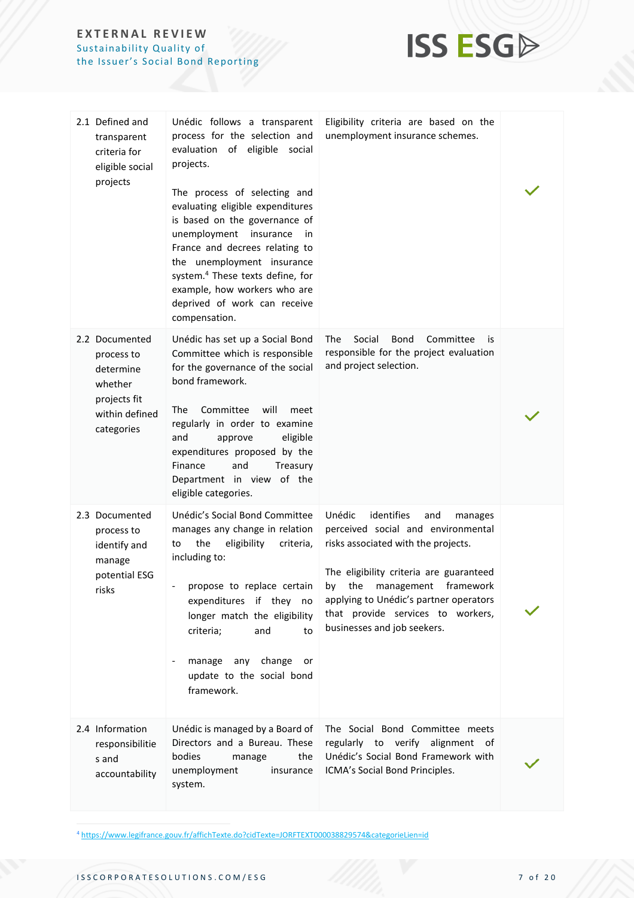

| 2.1 Defined and<br>transparent<br>criteria for<br>eligible social<br>projects                        | Unédic follows a transparent<br>process for the selection and<br>evaluation of eligible social<br>projects.<br>The process of selecting and<br>evaluating eligible expenditures<br>is based on the governance of<br>unemployment insurance<br>in<br>France and decrees relating to<br>the unemployment insurance<br>system. <sup>4</sup> These texts define, for<br>example, how workers who are<br>deprived of work can receive<br>compensation. | Eligibility criteria are based on the<br>unemployment insurance schemes.                                                                                                                                                                                                                                    |  |
|------------------------------------------------------------------------------------------------------|---------------------------------------------------------------------------------------------------------------------------------------------------------------------------------------------------------------------------------------------------------------------------------------------------------------------------------------------------------------------------------------------------------------------------------------------------|-------------------------------------------------------------------------------------------------------------------------------------------------------------------------------------------------------------------------------------------------------------------------------------------------------------|--|
| 2.2 Documented<br>process to<br>determine<br>whether<br>projects fit<br>within defined<br>categories | Unédic has set up a Social Bond<br>Committee which is responsible<br>for the governance of the social<br>bond framework.<br>The<br>Committee<br>will<br>meet<br>regularly in order to examine<br>and<br>approve<br>eligible<br>expenditures proposed by the<br>and<br>Finance<br>Treasury<br>Department in view of the<br>eligible categories.                                                                                                    | The<br>Social<br><b>Bond</b><br>Committee<br>is<br>responsible for the project evaluation<br>and project selection.                                                                                                                                                                                         |  |
| 2.3 Documented<br>process to<br>identify and<br>manage<br>potential ESG<br>risks                     | Unédic's Social Bond Committee<br>manages any change in relation<br>the<br>eligibility<br>criteria,<br>to<br>including to:<br>propose to replace certain<br>expenditures if they no<br>longer match the eligibility<br>criteria;<br>and<br>to<br>manage<br>any change<br>or<br>update to the social bond<br>framework.                                                                                                                            | Unédic<br>identifies<br>and<br>manages<br>perceived social and environmental<br>risks associated with the projects.<br>The eligibility criteria are guaranteed<br>by the management framework<br>applying to Unédic's partner operators<br>that provide services to workers,<br>businesses and job seekers. |  |
| 2.4 Information<br>responsibilitie<br>s and<br>accountability                                        | Unédic is managed by a Board of<br>Directors and a Bureau. These<br>bodies<br>the<br>manage<br>unemployment<br>insurance<br>system.                                                                                                                                                                                                                                                                                                               | The Social Bond Committee meets<br>regularly to verify alignment of<br>Unédic's Social Bond Framework with<br>ICMA's Social Bond Principles.                                                                                                                                                                |  |

<sup>4</sup> <https://www.legifrance.gouv.fr/affichTexte.do?cidTexte=JORFTEXT000038829574&categorieLien=id>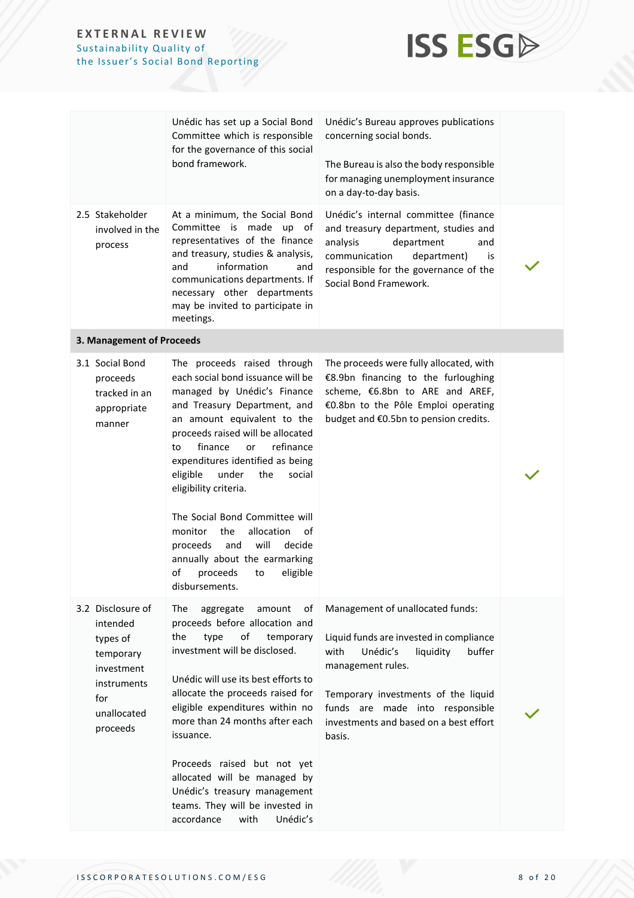

|                                                                                                                       | Unédic has set up a Social Bond<br>Committee which is responsible<br>for the governance of this social<br>bond framework.                                                                                                                                                                                                                                                                                                                                                                                                                      | Unédic's Bureau approves publications<br>concerning social bonds.<br>The Bureau is also the body responsible<br>for managing unemployment insurance                                                                                                                       |  |
|-----------------------------------------------------------------------------------------------------------------------|------------------------------------------------------------------------------------------------------------------------------------------------------------------------------------------------------------------------------------------------------------------------------------------------------------------------------------------------------------------------------------------------------------------------------------------------------------------------------------------------------------------------------------------------|---------------------------------------------------------------------------------------------------------------------------------------------------------------------------------------------------------------------------------------------------------------------------|--|
|                                                                                                                       |                                                                                                                                                                                                                                                                                                                                                                                                                                                                                                                                                | on a day-to-day basis.                                                                                                                                                                                                                                                    |  |
| 2.5 Stakeholder<br>involved in the<br>process                                                                         | At a minimum, the Social Bond<br>Committee is<br>made<br>up of<br>representatives of the finance<br>and treasury, studies & analysis,<br>information<br>and<br>and<br>communications departments. If<br>necessary other departments<br>may be invited to participate in<br>meetings.                                                                                                                                                                                                                                                           | Unédic's internal committee (finance<br>and treasury department, studies and<br>department<br>analysis<br>and<br>communication<br>department)<br>is<br>responsible for the governance of the<br>Social Bond Framework.                                                    |  |
| 3. Management of Proceeds                                                                                             |                                                                                                                                                                                                                                                                                                                                                                                                                                                                                                                                                |                                                                                                                                                                                                                                                                           |  |
| 3.1 Social Bond<br>proceeds<br>tracked in an<br>appropriate<br>manner                                                 | The proceeds raised through<br>each social bond issuance will be<br>managed by Unédic's Finance<br>and Treasury Department, and<br>an amount equivalent to the<br>proceeds raised will be allocated<br>finance<br>refinance<br>or<br>to<br>expenditures identified as being<br>eligible<br>under<br>the<br>social<br>eligibility criteria.<br>The Social Bond Committee will<br>allocation<br>monitor<br>the<br>of<br>will<br>proceeds<br>and<br>decide<br>annually about the earmarking<br>of<br>proceeds<br>eligible<br>to<br>disbursements. | The proceeds were fully allocated, with<br>€8.9bn financing to the furloughing<br>scheme, €6.8bn to ARE and AREF,<br>€0.8bn to the Pôle Emploi operating<br>budget and €0.5bn to pension credits.                                                                         |  |
| 3.2 Disclosure of<br>intended<br>types of<br>temporary<br>investment<br>instruments<br>for<br>unallocated<br>proceeds | The<br>aggregate<br>amount<br>оf<br>proceeds before allocation and<br>the<br>of<br>type<br>temporary<br>investment will be disclosed.<br>Unédic will use its best efforts to<br>allocate the proceeds raised for<br>eligible expenditures within no<br>more than 24 months after each<br>issuance.<br>Proceeds raised but not yet<br>allocated will be managed by<br>Unédic's treasury management<br>teams. They will be invested in<br>accordance<br>with<br>Unédic's                                                                         | Management of unallocated funds:<br>Liquid funds are invested in compliance<br>Unédic's<br>liquidity<br>buffer<br>with<br>management rules.<br>Temporary investments of the liquid<br>funds are made into responsible<br>investments and based on a best effort<br>basis. |  |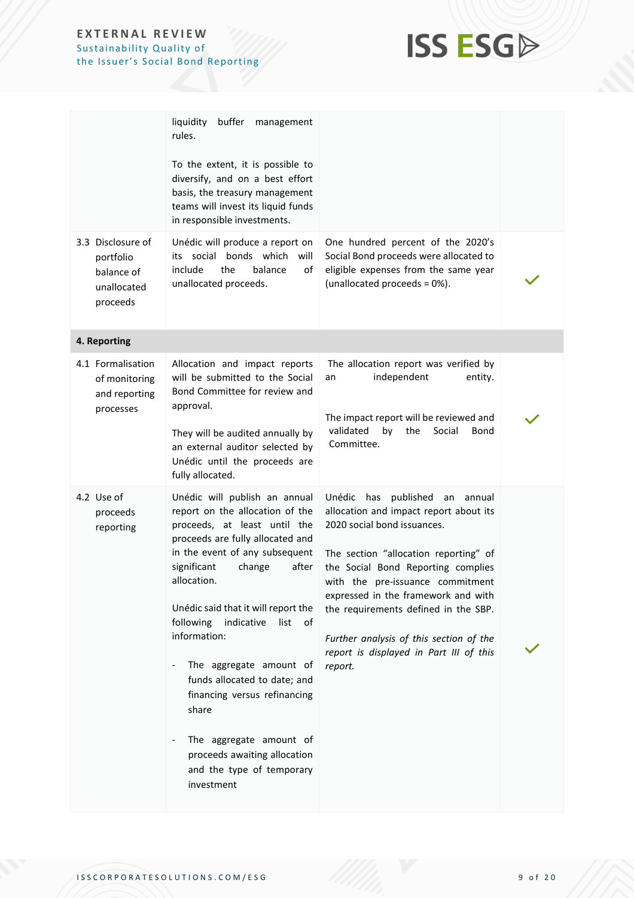

|                                                                         | liquidity<br>buffer<br>management<br>rules.<br>To the extent, it is possible to<br>diversify, and on a best effort<br>basis, the treasury management<br>teams will invest its liquid funds<br>in responsible investments.                                                                                                                                                                                                                                                                                                         |                                                                                                                                                                                                                                                                                                                                                                                                                  |  |
|-------------------------------------------------------------------------|-----------------------------------------------------------------------------------------------------------------------------------------------------------------------------------------------------------------------------------------------------------------------------------------------------------------------------------------------------------------------------------------------------------------------------------------------------------------------------------------------------------------------------------|------------------------------------------------------------------------------------------------------------------------------------------------------------------------------------------------------------------------------------------------------------------------------------------------------------------------------------------------------------------------------------------------------------------|--|
| 3.3 Disclosure of<br>portfolio<br>balance of<br>unallocated<br>proceeds | Unédic will produce a report on<br>its social bonds which<br>will<br>include<br>the<br>balance<br>of<br>unallocated proceeds.                                                                                                                                                                                                                                                                                                                                                                                                     | One hundred percent of the 2020's<br>Social Bond proceeds were allocated to<br>eligible expenses from the same year<br>(unallocated proceeds = 0%).                                                                                                                                                                                                                                                              |  |
| 4. Reporting                                                            |                                                                                                                                                                                                                                                                                                                                                                                                                                                                                                                                   |                                                                                                                                                                                                                                                                                                                                                                                                                  |  |
| 4.1 Formalisation<br>of monitoring<br>and reporting<br>processes        | Allocation and impact reports<br>will be submitted to the Social<br>Bond Committee for review and<br>approval.<br>They will be audited annually by<br>an external auditor selected by<br>Unédic until the proceeds are<br>fully allocated.                                                                                                                                                                                                                                                                                        | The allocation report was verified by<br>independent<br>entity.<br>an<br>The impact report will be reviewed and<br>validated<br>bv<br>the<br>Social<br>Bond<br>Committee.                                                                                                                                                                                                                                        |  |
| 4.2 Use of<br>proceeds<br>reporting                                     | Unédic will publish an annual<br>report on the allocation of the<br>proceeds, at least until the<br>proceeds are fully allocated and<br>in the event of any subsequent<br>significant<br>after<br>change<br>allocation.<br>Unédic said that it will report the<br>following<br>indicative<br>list<br>of<br>information:<br>The aggregate amount of<br>funds allocated to date; and<br>financing versus refinancing<br>share<br>The aggregate amount of<br>proceeds awaiting allocation<br>and the type of temporary<br>investment | Unédic has published<br>annual<br>an<br>allocation and impact report about its<br>2020 social bond issuances.<br>The section "allocation reporting" of<br>the Social Bond Reporting complies<br>with the pre-issuance commitment<br>expressed in the framework and with<br>the requirements defined in the SBP.<br>Further analysis of this section of the<br>report is displayed in Part III of this<br>report. |  |

ISSCORPORATESOLUTIONS.COM/ESG 9 of 20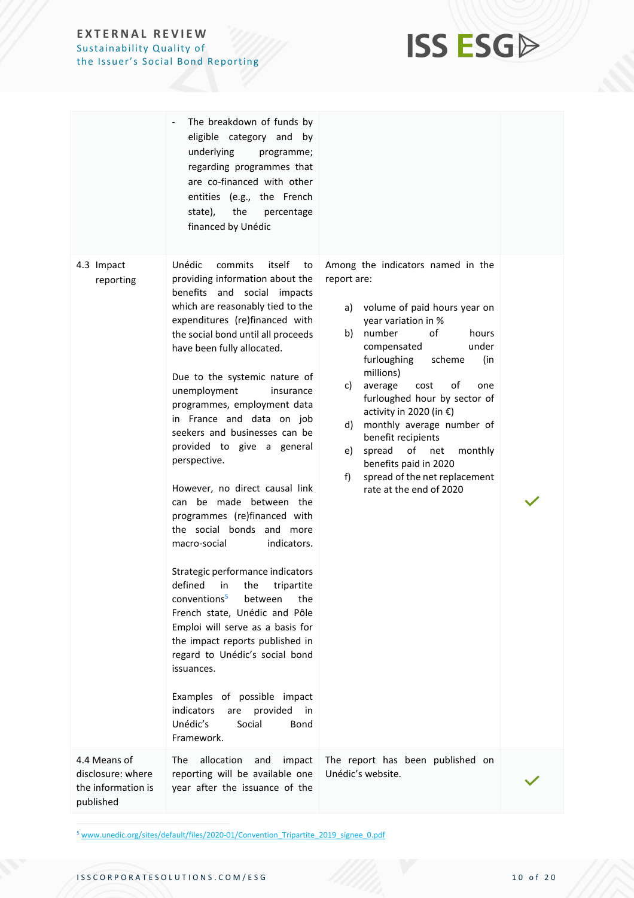

|                                                                      | The breakdown of funds by<br>eligible category and by<br>underlying<br>programme;<br>regarding programmes that<br>are co-financed with other<br>entities (e.g., the French<br>state),<br>the<br>percentage<br>financed by Unédic                                                                                                                                                                                                                                                                                                                                                                                                                                                                                                                                                                                                                                                                                                                                                                                  |                                                                                                                                                                                                                                                                                                                                                                                                                                                                                                                |  |
|----------------------------------------------------------------------|-------------------------------------------------------------------------------------------------------------------------------------------------------------------------------------------------------------------------------------------------------------------------------------------------------------------------------------------------------------------------------------------------------------------------------------------------------------------------------------------------------------------------------------------------------------------------------------------------------------------------------------------------------------------------------------------------------------------------------------------------------------------------------------------------------------------------------------------------------------------------------------------------------------------------------------------------------------------------------------------------------------------|----------------------------------------------------------------------------------------------------------------------------------------------------------------------------------------------------------------------------------------------------------------------------------------------------------------------------------------------------------------------------------------------------------------------------------------------------------------------------------------------------------------|--|
| 4.3 Impact<br>reporting                                              | Unédic<br>itself<br>commits<br>to<br>providing information about the<br>benefits and social impacts<br>which are reasonably tied to the<br>expenditures (re)financed with<br>the social bond until all proceeds<br>have been fully allocated.<br>Due to the systemic nature of<br>unemployment<br>insurance<br>programmes, employment data<br>in France and data on job<br>seekers and businesses can be<br>provided to give a general<br>perspective.<br>However, no direct causal link<br>can be made between the<br>programmes (re)financed with<br>the social bonds and more<br>macro-social<br>indicators.<br>Strategic performance indicators<br>defined<br>in<br>the<br>tripartite<br>conventions <sup>5</sup><br>between<br>the<br>French state, Unédic and Pôle<br>Emploi will serve as a basis for<br>the impact reports published in<br>regard to Unédic's social bond<br>issuances.<br>Examples of possible impact<br>indicators<br>provided<br>are<br>in<br>Unédic's<br>Social<br>Bond<br>Framework. | Among the indicators named in the<br>report are:<br>volume of paid hours year on<br>a)<br>year variation in %<br>number<br>of<br>b)<br>hours<br>under<br>compensated<br>furloughing<br>scheme<br>(in<br>millions)<br>οf<br>average<br>cost<br>C)<br>one<br>furloughed hour by sector of<br>activity in 2020 (in €)<br>monthly average number of<br>d)<br>benefit recipients<br>of<br>spread<br>e)<br>net<br>monthly<br>benefits paid in 2020<br>spread of the net replacement<br>f)<br>rate at the end of 2020 |  |
| 4.4 Means of<br>disclosure: where<br>the information is<br>published | The<br>allocation<br>and<br>impact<br>reporting will be available one<br>year after the issuance of the                                                                                                                                                                                                                                                                                                                                                                                                                                                                                                                                                                                                                                                                                                                                                                                                                                                                                                           | The report has been published on<br>Unédic's website.                                                                                                                                                                                                                                                                                                                                                                                                                                                          |  |

<sup>5</sup> [www.unedic.org/sites/default/files/2020-01/Convention\\_Tripartite\\_2019\\_signee\\_0.pdf](http://www.unedic.org/sites/default/files/2020-01/Convention_Tripartite_2019_signee_0.pdf)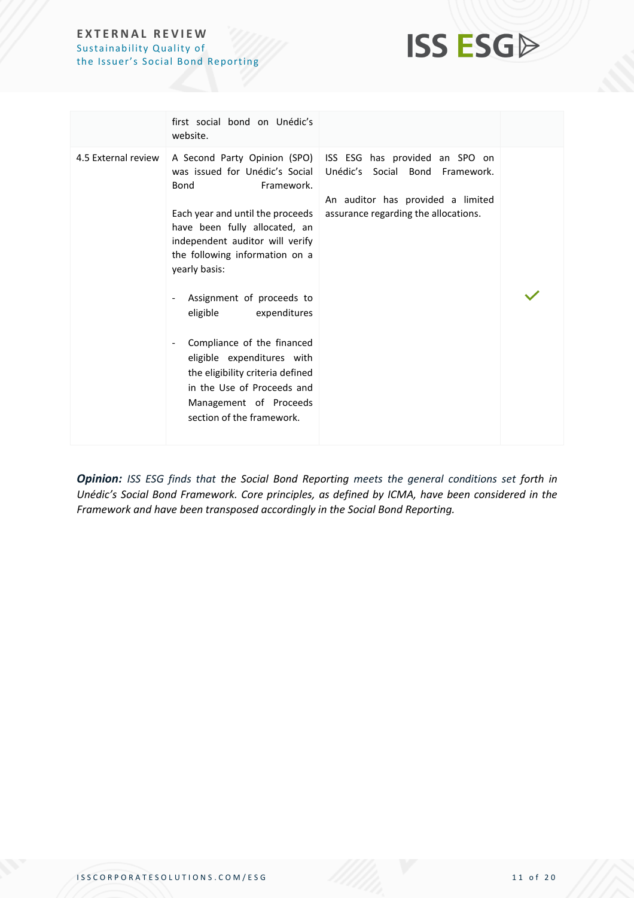

|                     | first social bond on Unédic's<br>website.                                                                                                                                                                                                                                                                                                                                                                                                                   |                                                                                                                                                                                                              |  |
|---------------------|-------------------------------------------------------------------------------------------------------------------------------------------------------------------------------------------------------------------------------------------------------------------------------------------------------------------------------------------------------------------------------------------------------------------------------------------------------------|--------------------------------------------------------------------------------------------------------------------------------------------------------------------------------------------------------------|--|
| 4.5 External review | Bond<br>Framework.<br>Each year and until the proceeds<br>have been fully allocated, an<br>independent auditor will verify<br>the following information on a<br>yearly basis:<br>Assignment of proceeds to<br>eligible<br>expenditures<br>Compliance of the financed<br>$\qquad \qquad \blacksquare$<br>eligible expenditures with<br>the eligibility criteria defined<br>in the Use of Proceeds and<br>Management of Proceeds<br>section of the framework. | A Second Party Opinion (SPO) ISS ESG has provided an SPO on<br>was issued for Unédic's Social   Unédic's Social Bond Framework.<br>An auditor has provided a limited<br>assurance regarding the allocations. |  |

*Opinion: ISS ESG finds that the Social Bond Reporting meets the general conditions set forth in Unédic's Social Bond Framework. Core principles, as defined by ICMA, have been considered in the Framework and have been transposed accordingly in the Social Bond Reporting.*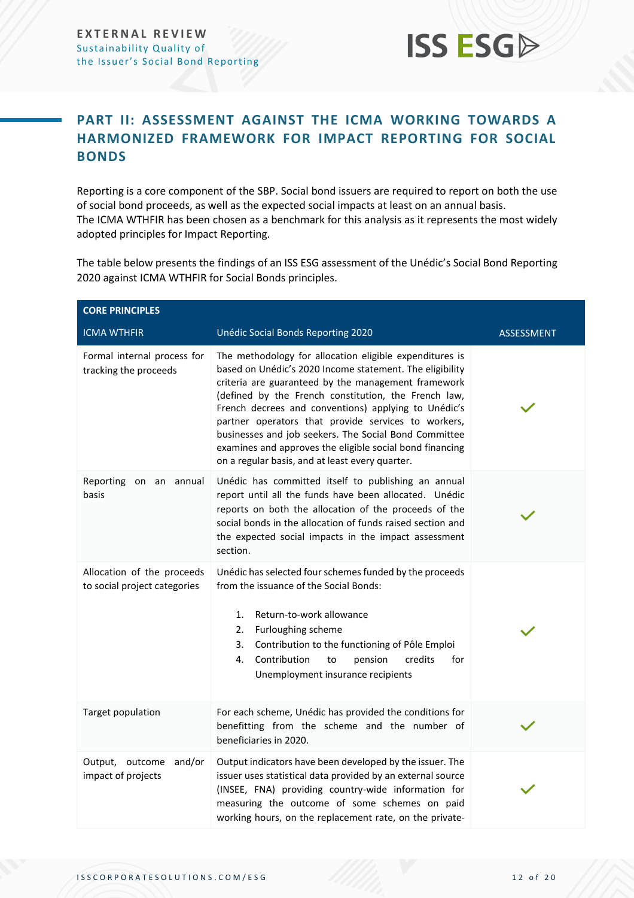## **PART II: ASSESSMENT AGAINST THE ICMA WORKING TOWARDS A HARMONIZED FRAMEWORK FOR IMPACT REPORTING FOR SOCIAL BONDS**

Reporting is a core component of the SBP. Social bond issuers are required to report on both the use of social bond proceeds, as well as the expected social impacts at least on an annual basis. The ICMA WTHFIR has been chosen as a benchmark for this analysis as it represents the most widely adopted principles for Impact Reporting.

The table below presents the findings of an ISS ESG assessment of the Unédic's Social Bond Reporting 2020 against ICMA WTHFIR for Social Bonds principles.

| <b>CORE PRINCIPLES</b>                                     |                                                                                                                                                                                                                                                                                                                                                                                                                                                                                                                           |                   |  |
|------------------------------------------------------------|---------------------------------------------------------------------------------------------------------------------------------------------------------------------------------------------------------------------------------------------------------------------------------------------------------------------------------------------------------------------------------------------------------------------------------------------------------------------------------------------------------------------------|-------------------|--|
| <b>ICMA WTHFIR</b>                                         | Unédic Social Bonds Reporting 2020                                                                                                                                                                                                                                                                                                                                                                                                                                                                                        | <b>ASSESSMENT</b> |  |
| Formal internal process for<br>tracking the proceeds       | The methodology for allocation eligible expenditures is<br>based on Unédic's 2020 Income statement. The eligibility<br>criteria are guaranteed by the management framework<br>(defined by the French constitution, the French law,<br>French decrees and conventions) applying to Unédic's<br>partner operators that provide services to workers,<br>businesses and job seekers. The Social Bond Committee<br>examines and approves the eligible social bond financing<br>on a regular basis, and at least every quarter. |                   |  |
| Reporting on an annual<br>basis                            | Unédic has committed itself to publishing an annual<br>report until all the funds have been allocated. Unédic<br>reports on both the allocation of the proceeds of the<br>social bonds in the allocation of funds raised section and<br>the expected social impacts in the impact assessment<br>section.                                                                                                                                                                                                                  |                   |  |
| Allocation of the proceeds<br>to social project categories | Unédic has selected four schemes funded by the proceeds<br>from the issuance of the Social Bonds:<br>Return-to-work allowance<br>1.<br>Furloughing scheme<br>2.<br>3.<br>Contribution to the functioning of Pôle Emploi<br>Contribution<br>credits<br>4.<br>to<br>pension<br>for<br>Unemployment insurance recipients                                                                                                                                                                                                     |                   |  |
| Target population                                          | For each scheme, Unédic has provided the conditions for<br>benefitting from the scheme and the number of<br>beneficiaries in 2020.                                                                                                                                                                                                                                                                                                                                                                                        |                   |  |
| and/or<br>Output, outcome<br>impact of projects            | Output indicators have been developed by the issuer. The<br>issuer uses statistical data provided by an external source<br>(INSEE, FNA) providing country-wide information for<br>measuring the outcome of some schemes on paid<br>working hours, on the replacement rate, on the private-                                                                                                                                                                                                                                |                   |  |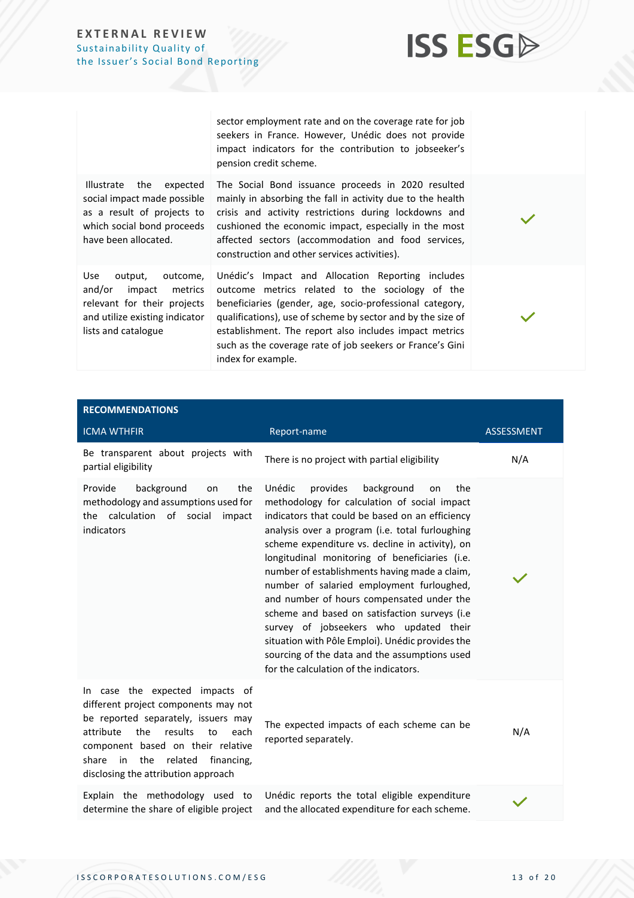

sector employment rate and on the coverage rate for job seekers in France. However, Unédic does not provide impact indicators for the contribution to jobseeker's pension credit scheme.

Illustrate the expected social impact made possible as a result of projects to which social bond proceeds have been allocated.

Use output, outcome, and/or impact metrics relevant for their projects and utilize existing indicator lists and catalogue

The Social Bond issuance proceeds in 2020 resulted mainly in absorbing the fall in activity due to the health crisis and activity restrictions during lockdowns and cushioned the economic impact, especially in the most affected sectors (accommodation and food services, construction and other services activities). Unédic's Impact and Allocation Reporting includes

outcome metrics related to the sociology of the beneficiaries (gender, age, socio-professional category, qualifications), use of scheme by sector and by the size of establishment. The report also includes impact metrics such as the coverage rate of job seekers or France's Gini index for example.

| <b>RECOMMENDATIONS</b>                                                                                                                                                                                                                                                              |                                                                                                                                                                                                                                                                                                                                                                                                                                                                                                                                                                                                                                                                                               |                   |
|-------------------------------------------------------------------------------------------------------------------------------------------------------------------------------------------------------------------------------------------------------------------------------------|-----------------------------------------------------------------------------------------------------------------------------------------------------------------------------------------------------------------------------------------------------------------------------------------------------------------------------------------------------------------------------------------------------------------------------------------------------------------------------------------------------------------------------------------------------------------------------------------------------------------------------------------------------------------------------------------------|-------------------|
| <b>ICMA WTHFIR</b>                                                                                                                                                                                                                                                                  | Report-name                                                                                                                                                                                                                                                                                                                                                                                                                                                                                                                                                                                                                                                                                   | <b>ASSESSMENT</b> |
| Be transparent about projects with<br>partial eligibility                                                                                                                                                                                                                           | There is no project with partial eligibility                                                                                                                                                                                                                                                                                                                                                                                                                                                                                                                                                                                                                                                  | N/A               |
| Provide<br>background<br>the<br>on<br>methodology and assumptions used for<br>the calculation of social<br>impact<br>indicators                                                                                                                                                     | Unédic<br>provides<br>background<br>the<br>on<br>methodology for calculation of social impact<br>indicators that could be based on an efficiency<br>analysis over a program (i.e. total furloughing<br>scheme expenditure vs. decline in activity), on<br>longitudinal monitoring of beneficiaries (i.e.<br>number of establishments having made a claim,<br>number of salaried employment furloughed,<br>and number of hours compensated under the<br>scheme and based on satisfaction surveys (i.e<br>survey of jobseekers who updated their<br>situation with Pôle Emploi). Unédic provides the<br>sourcing of the data and the assumptions used<br>for the calculation of the indicators. |                   |
| In case the expected impacts of<br>different project components may not<br>be reported separately, issuers may<br>the<br>attribute<br>results<br>to<br>each<br>component based on their relative<br>share in<br>the<br>related<br>financing,<br>disclosing the attribution approach | The expected impacts of each scheme can be<br>reported separately.                                                                                                                                                                                                                                                                                                                                                                                                                                                                                                                                                                                                                            | N/A               |
| Explain the methodology used to<br>determine the share of eligible project                                                                                                                                                                                                          | Unédic reports the total eligible expenditure<br>and the allocated expenditure for each scheme.                                                                                                                                                                                                                                                                                                                                                                                                                                                                                                                                                                                               |                   |

ISSCORPORATESOLUTIONS.COM/ESG 13 of 20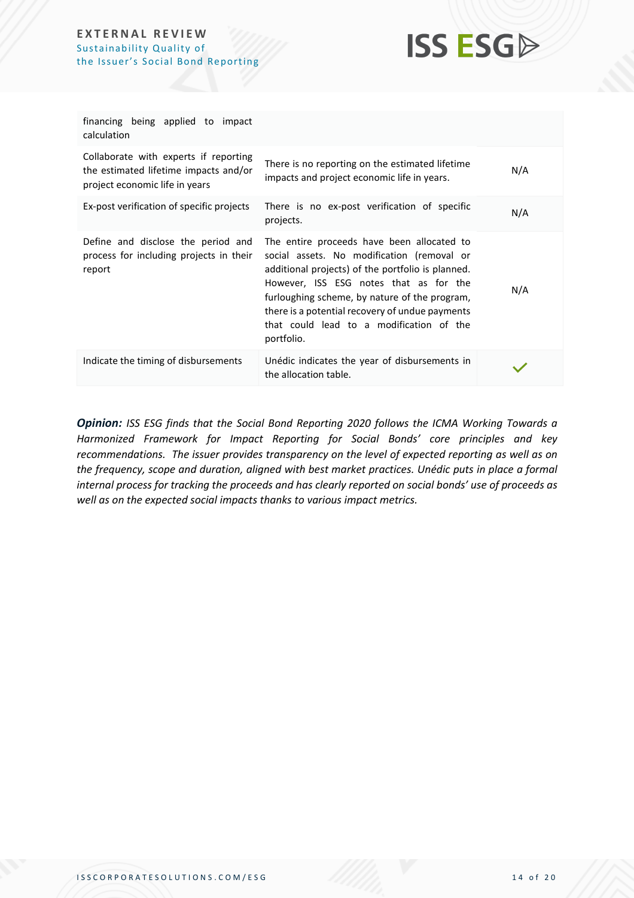

| financing being applied to impact<br>calculation                                                                 |                                                                                                                                                                                                                                                                                                                                                       |     |
|------------------------------------------------------------------------------------------------------------------|-------------------------------------------------------------------------------------------------------------------------------------------------------------------------------------------------------------------------------------------------------------------------------------------------------------------------------------------------------|-----|
| Collaborate with experts if reporting<br>the estimated lifetime impacts and/or<br>project economic life in years | There is no reporting on the estimated lifetime<br>impacts and project economic life in years.                                                                                                                                                                                                                                                        | N/A |
| Ex-post verification of specific projects                                                                        | There is no ex-post verification of specific<br>projects.                                                                                                                                                                                                                                                                                             | N/A |
| Define and disclose the period and<br>process for including projects in their<br>report                          | The entire proceeds have been allocated to<br>social assets. No modification (removal or<br>additional projects) of the portfolio is planned.<br>However, ISS ESG notes that as for the<br>furloughing scheme, by nature of the program,<br>there is a potential recovery of undue payments<br>that could lead to a modification of the<br>portfolio. | N/A |
| Indicate the timing of disbursements                                                                             | Unédic indicates the year of disbursements in<br>the allocation table.                                                                                                                                                                                                                                                                                |     |

*Opinion: ISS ESG finds that the Social Bond Reporting 2020 follows the ICMA Working Towards a Harmonized Framework for Impact Reporting for Social Bonds' core principles and key recommendations. The issuer provides transparency on the level of expected reporting as well as on the frequency, scope and duration, aligned with best market practices. Unédic puts in place a formal internal process for tracking the proceeds and has clearly reported on social bonds' use of proceeds as well as on the expected social impacts thanks to various impact metrics.*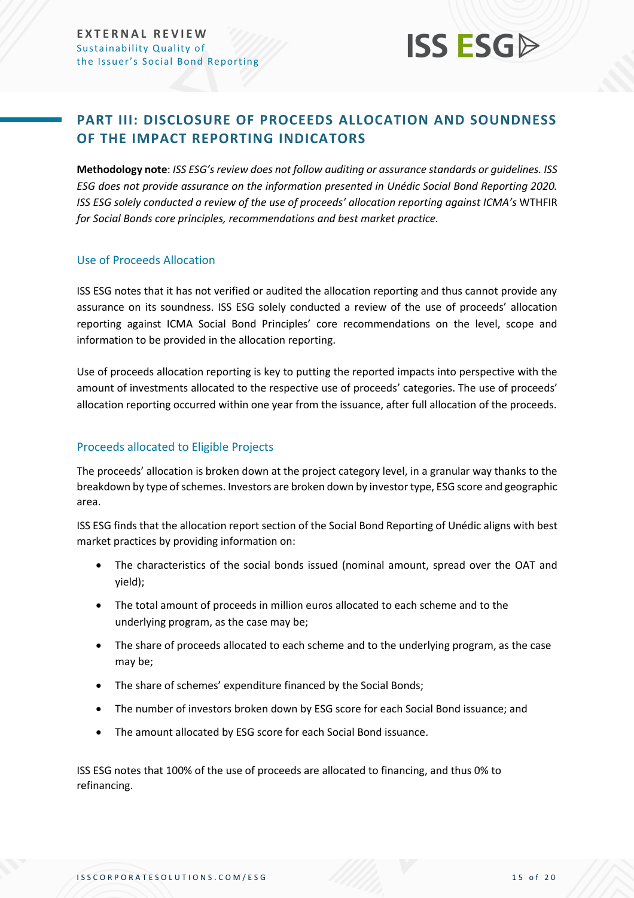## **ISS ESG**

## <span id="page-14-0"></span>**PART III: DISCLOSURE OF PROCEEDS ALLOCATION AND SOUNDNESS OF THE IMPACT REPORTING INDICATORS**

**Methodology note**: *ISS ESG's review does not follow auditing or assurance standards or guidelines. ISS ESG does not provide assurance on the information presented in Unédic Social Bond Reporting 2020. ISS ESG solely conducted a review of the use of proceeds' allocation reporting against ICMA's* WTHFIR *for Social Bonds core principles, recommendations and best market practice.* 

#### Use of Proceeds Allocation

ISS ESG notes that it has not verified or audited the allocation reporting and thus cannot provide any assurance on its soundness. ISS ESG solely conducted a review of the use of proceeds' allocation reporting against ICMA Social Bond Principles' core recommendations on the level, scope and information to be provided in the allocation reporting.

Use of proceeds allocation reporting is key to putting the reported impacts into perspective with the amount of investments allocated to the respective use of proceeds' categories. The use of proceeds' allocation reporting occurred within one year from the issuance, after full allocation of the proceeds.

#### Proceeds allocated to Eligible Projects

The proceeds' allocation is broken down at the project category level, in a granular way thanks to the breakdown by type of schemes. Investors are broken down by investor type, ESG score and geographic area.

ISS ESG finds that the allocation report section of the Social Bond Reporting of Unédic aligns with best market practices by providing information on:

- The characteristics of the social bonds issued (nominal amount, spread over the OAT and yield);
- The total amount of proceeds in million euros allocated to each scheme and to the underlying program, as the case may be;
- The share of proceeds allocated to each scheme and to the underlying program, as the case may be;
- The share of schemes' expenditure financed by the Social Bonds;
- The number of investors broken down by ESG score for each Social Bond issuance; and
- The amount allocated by ESG score for each Social Bond issuance.

ISS ESG notes that 100% of the use of proceeds are allocated to financing, and thus 0% to refinancing.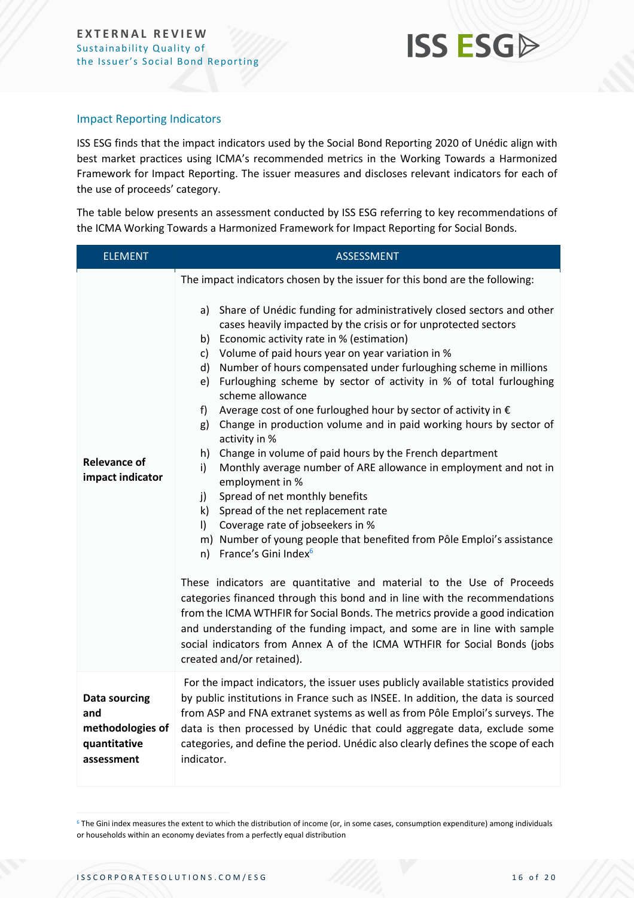

#### Impact Reporting Indicators

ISS ESG finds that the impact indicators used by the Social Bond Reporting 2020 of Unédic align with best market practices using ICMA's recommended metrics in the Working Towards a Harmonized Framework for Impact Reporting. The issuer measures and discloses relevant indicators for each of the use of proceeds' category.

The table below presents an assessment conducted by ISS ESG referring to key recommendations of the ICMA Working Towards a Harmonized Framework for Impact Reporting for Social Bonds.

| <b>ELEMENT</b>                                                                | <b>ASSESSMENT</b>                                                                                                                                                                                                                                                                                                                                                                                                                                                                                                                                                                                                                                                                                                                                                                                                                                                                                                                                                                                                                                                                                                                                                                                                                                                                                                                                                                                                                                                                                                                        |  |
|-------------------------------------------------------------------------------|------------------------------------------------------------------------------------------------------------------------------------------------------------------------------------------------------------------------------------------------------------------------------------------------------------------------------------------------------------------------------------------------------------------------------------------------------------------------------------------------------------------------------------------------------------------------------------------------------------------------------------------------------------------------------------------------------------------------------------------------------------------------------------------------------------------------------------------------------------------------------------------------------------------------------------------------------------------------------------------------------------------------------------------------------------------------------------------------------------------------------------------------------------------------------------------------------------------------------------------------------------------------------------------------------------------------------------------------------------------------------------------------------------------------------------------------------------------------------------------------------------------------------------------|--|
| <b>Relevance of</b><br>impact indicator                                       | The impact indicators chosen by the issuer for this bond are the following:<br>a) Share of Unédic funding for administratively closed sectors and other<br>cases heavily impacted by the crisis or for unprotected sectors<br>b) Economic activity rate in % (estimation)<br>Volume of paid hours year on year variation in %<br>c)<br>Number of hours compensated under furloughing scheme in millions<br>d)<br>Furloughing scheme by sector of activity in % of total furloughing<br>e)<br>scheme allowance<br>Average cost of one furloughed hour by sector of activity in $\epsilon$<br>f<br>Change in production volume and in paid working hours by sector of<br>g)<br>activity in %<br>Change in volume of paid hours by the French department<br>h)<br>Monthly average number of ARE allowance in employment and not in<br>i)<br>employment in %<br>Spread of net monthly benefits<br>j)<br>k) Spread of the net replacement rate<br>Coverage rate of jobseekers in %<br>$\vert$ )<br>m) Number of young people that benefited from Pôle Emploi's assistance<br>n) France's Gini Index <sup>6</sup><br>These indicators are quantitative and material to the Use of Proceeds<br>categories financed through this bond and in line with the recommendations<br>from the ICMA WTHFIR for Social Bonds. The metrics provide a good indication<br>and understanding of the funding impact, and some are in line with sample<br>social indicators from Annex A of the ICMA WTHFIR for Social Bonds (jobs<br>created and/or retained). |  |
| <b>Data sourcing</b><br>and<br>methodologies of<br>quantitative<br>assessment | For the impact indicators, the issuer uses publicly available statistics provided<br>by public institutions in France such as INSEE. In addition, the data is sourced<br>from ASP and FNA extranet systems as well as from Pôle Emploi's surveys. The<br>data is then processed by Unédic that could aggregate data, exclude some<br>categories, and define the period. Unédic also clearly defines the scope of each<br>indicator.                                                                                                                                                                                                                                                                                                                                                                                                                                                                                                                                                                                                                                                                                                                                                                                                                                                                                                                                                                                                                                                                                                      |  |

 $6$  The Gini index measures the extent to which the distribution of income (or, in some cases, consumption expenditure) among individuals or households within an economy deviates from a perfectly equal distribution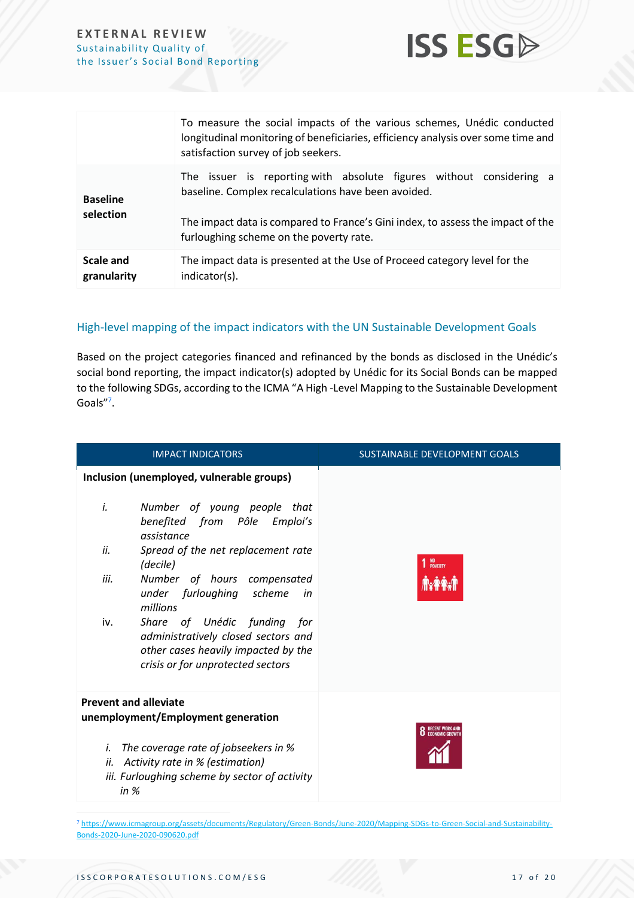

|                              | To measure the social impacts of the various schemes, Unédic conducted<br>longitudinal monitoring of beneficiaries, efficiency analysis over some time and<br>satisfaction survey of job seekers.                                                        |  |
|------------------------------|----------------------------------------------------------------------------------------------------------------------------------------------------------------------------------------------------------------------------------------------------------|--|
| <b>Baseline</b><br>selection | The issuer is reporting with absolute figures without considering a<br>baseline. Complex recalculations have been avoided.<br>The impact data is compared to France's Gini index, to assess the impact of the<br>furloughing scheme on the poverty rate. |  |
| Scale and<br>granularity     | The impact data is presented at the Use of Proceed category level for the<br>indicator(s).                                                                                                                                                               |  |

#### High-level mapping of the impact indicators with the UN Sustainable Development Goals

Based on the project categories financed and refinanced by the bonds as disclosed in the Unédic's social bond reporting, the impact indicator(s) adopted by Unédic for its Social Bonds can be mapped to the following SDGs, according to the ICMA "A High -Level Mapping to the Sustainable Development Goals"<sup>7</sup>.

| <b>IMPACT INDICATORS</b>                                                                                                                              | SUSTAINABLE DEVELOPMENT GOALS           |
|-------------------------------------------------------------------------------------------------------------------------------------------------------|-----------------------------------------|
| Inclusion (unemployed, vulnerable groups)                                                                                                             |                                         |
| i.<br>Number of young people that<br>benefited from Pôle Emploi's<br>assistance                                                                       |                                         |
| ii.<br>Spread of the net replacement rate<br>(decile)                                                                                                 | NO<br>Poverty                           |
| iii.<br>Number of hours compensated<br>under furloughing scheme<br>in<br>millions                                                                     |                                         |
| Share of Unédic funding for<br>iv.<br>administratively closed sectors and<br>other cases heavily impacted by the<br>crisis or for unprotected sectors |                                         |
| <b>Prevent and alleviate</b>                                                                                                                          |                                         |
| unemployment/Employment generation                                                                                                                    | <b>DECENT WORK AN</b><br>ECONOMIC GROWT |
| The coverage rate of jobseekers in %<br>i.<br>Activity rate in % (estimation)<br>ii.<br>iii. Furloughing scheme by sector of activity<br>in $%$       |                                         |

<sup>7</sup> [https://www.icmagroup.org/assets/documents/Regulatory/Green-Bonds/June-2020/Mapping-SDGs-to-Green-Social-and-Sustainability-](https://www.icmagroup.org/assets/documents/Regulatory/Green-Bonds/June-2020/Mapping-SDGs-to-Green-Social-and-Sustainability-Bonds-2020-June-2020-090620.pdf)[Bonds-2020-June-2020-090620.pdf](https://www.icmagroup.org/assets/documents/Regulatory/Green-Bonds/June-2020/Mapping-SDGs-to-Green-Social-and-Sustainability-Bonds-2020-June-2020-090620.pdf)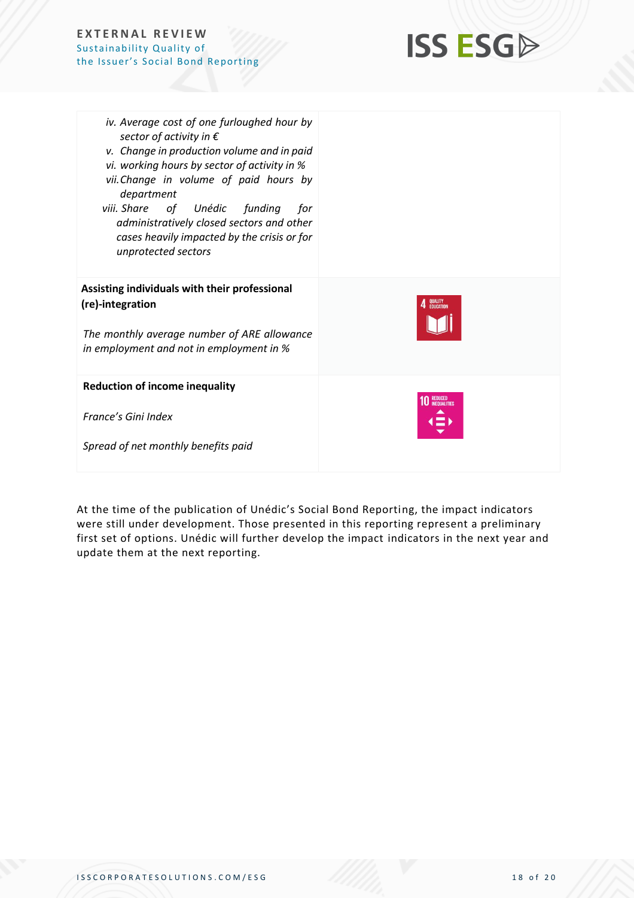

| iv. Average cost of one furloughed hour by<br>sector of activity in $\epsilon$<br>v. Change in production volume and in paid<br>vi. working hours by sector of activity in %<br>vii. Change in volume of paid hours by<br>department<br>viii. Share of<br>Unédic funding<br>for<br>administratively closed sectors and other<br>cases heavily impacted by the crisis or for<br>unprotected sectors |                      |
|----------------------------------------------------------------------------------------------------------------------------------------------------------------------------------------------------------------------------------------------------------------------------------------------------------------------------------------------------------------------------------------------------|----------------------|
| Assisting individuals with their professional<br>(re)-integration<br>The monthly average number of ARE allowance<br>in employment and not in employment in %                                                                                                                                                                                                                                       | QUALITY<br>EDUCATION |
| <b>Reduction of income inequality</b><br>France's Gini Index<br>Spread of net monthly benefits paid                                                                                                                                                                                                                                                                                                |                      |

At the time of the publication of Unédic's Social Bond Reporting, the impact indicators were still under development. Those presented in this reporting represent a preliminary first set of options. Unédic will further develop the impact indicators in the next year and update them at the next reporting.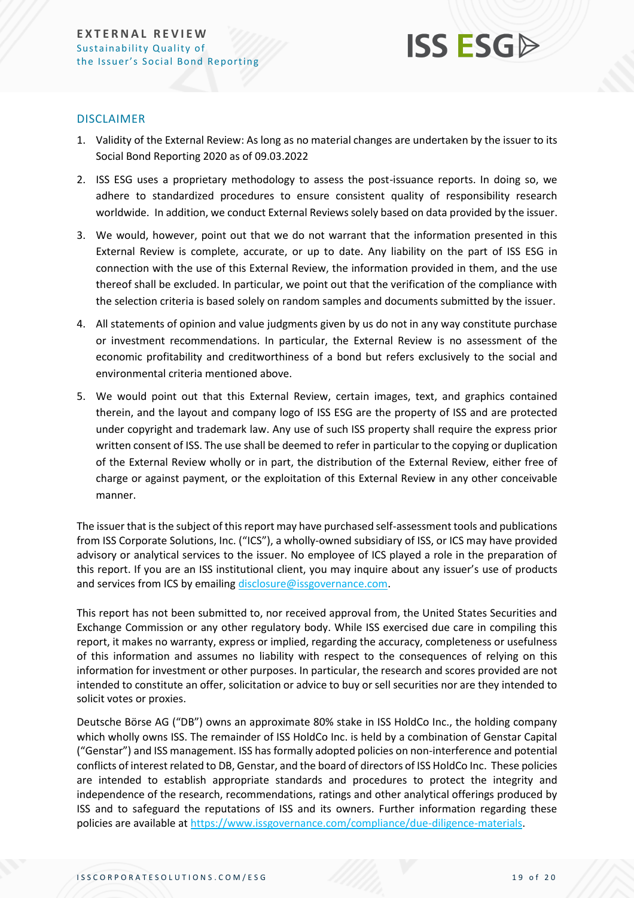

#### DISCLAIMER

- 1. Validity of the External Review: As long as no material changes are undertaken by the issuer to its Social Bond Reporting 2020 as of 09.03.2022
- <span id="page-18-0"></span>2. ISS ESG uses a proprietary methodology to assess the post-issuance reports. In doing so, we adhere to standardized procedures to ensure consistent quality of responsibility research worldwide. In addition, we conduct External Reviews solely based on data provided by the issuer.
- 3. We would, however, point out that we do not warrant that the information presented in this External Review is complete, accurate, or up to date. Any liability on the part of ISS ESG in connection with the use of this External Review, the information provided in them, and the use thereof shall be excluded. In particular, we point out that the verification of the compliance with the selection criteria is based solely on random samples and documents submitted by the issuer.
- 4. All statements of opinion and value judgments given by us do not in any way constitute purchase or investment recommendations. In particular, the External Review is no assessment of the economic profitability and creditworthiness of a bond but refers exclusively to the social and environmental criteria mentioned above.
- 5. We would point out that this External Review, certain images, text, and graphics contained therein, and the layout and company logo of ISS ESG are the property of ISS and are protected under copyright and trademark law. Any use of such ISS property shall require the express prior written consent of ISS. The use shall be deemed to refer in particular to the copying or duplication of the External Review wholly or in part, the distribution of the External Review, either free of charge or against payment, or the exploitation of this External Review in any other conceivable manner.

The issuer that is the subject of this report may have purchased self-assessment tools and publications from ISS Corporate Solutions, Inc. ("ICS"), a wholly-owned subsidiary of ISS, or ICS may have provided advisory or analytical services to the issuer. No employee of ICS played a role in the preparation of this report. If you are an ISS institutional client, you may inquire about any issuer's use of products and services from ICS by emailin[g disclosure@issgovernance.com.](mailto:disclosure@issgovernance.com)

This report has not been submitted to, nor received approval from, the United States Securities and Exchange Commission or any other regulatory body. While ISS exercised due care in compiling this report, it makes no warranty, express or implied, regarding the accuracy, completeness or usefulness of this information and assumes no liability with respect to the consequences of relying on this information for investment or other purposes. In particular, the research and scores provided are not intended to constitute an offer, solicitation or advice to buy or sell securities nor are they intended to solicit votes or proxies.

Deutsche Börse AG ("DB") owns an approximate 80% stake in ISS HoldCo Inc., the holding company which wholly owns ISS. The remainder of ISS HoldCo Inc. is held by a combination of Genstar Capital ("Genstar") and ISS management. ISS has formally adopted policies on non-interference and potential conflicts of interest related to DB, Genstar, and the board of directors of ISS HoldCo Inc. These policies are intended to establish appropriate standards and procedures to protect the integrity and independence of the research, recommendations, ratings and other analytical offerings produced by ISS and to safeguard the reputations of ISS and its owners. Further information regarding these policies are available a[t https://www.issgovernance.com/compliance/due-diligence-materials.](https://www.issgovernance.com/compliance/due-diligence-materials)